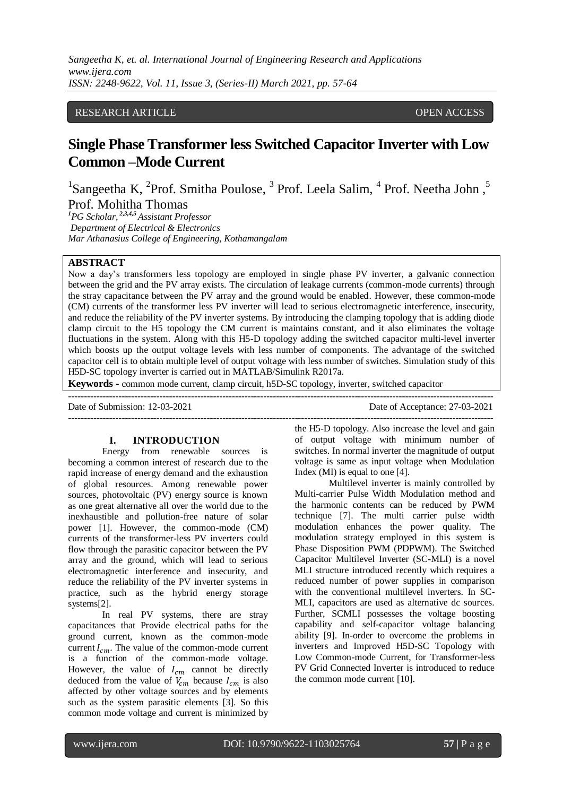*Sangeetha K, et. al. International Journal of Engineering Research and Applications www.ijera.com ISSN: 2248-9622, Vol. 11, Issue 3, (Series-II) March 2021, pp. 57-64*

# RESEARCH ARTICLE **CONTRACT ARTICLE** AND CONSUMING A SERVICE OPEN ACCESS OF A SERVICE OPEN ACCESS OF A SERVICE OF A SERVICE OF A SERVICE OF A SERVICE OF A SERVICE OF A SERVICE OF A SERVICE OF A SERVICE OF A SERVICE OF A SER

# **Single Phase Transformer less Switched Capacitor Inverter with Low Common –Mode Current**

<sup>1</sup>Sangeetha K, <sup>2</sup>Prof. Smitha Poulose,  $3$  Prof. Leela Salim,  $4$  Prof. Neetha John,  $5$ Prof. Mohitha Thomas

*<sup>1</sup>PG Scholar, 2,3,4,5 Assistant Professor Department of Electrical & Electronics Mar Athanasius College of Engineering, Kothamangalam*

## **ABSTRACT**

Now a day's transformers less topology are employed in single phase PV inverter, a galvanic connection between the grid and the PV array exists. The circulation of leakage currents (common-mode currents) through the stray capacitance between the PV array and the ground would be enabled. However, these common-mode (CM) currents of the transformer less PV inverter will lead to serious electromagnetic interference, insecurity, and reduce the reliability of the PV inverter systems. By introducing the clamping topology that is adding diode clamp circuit to the H5 topology the CM current is maintains constant, and it also eliminates the voltage fluctuations in the system. Along with this H5-D topology adding the switched capacitor multi-level inverter which boosts up the output voltage levels with less number of components. The advantage of the switched capacitor cell is to obtain multiple level of output voltage with less number of switches. Simulation study of this H5D-SC topology inverter is carried out in MATLAB/Simulink R2017a.

---------------------------------------------------------------------------------------------------------------------------------------

**Keywords -** common mode current, clamp circuit, h5D-SC topology, inverter, switched capacitor

Date of Submission: 12-03-2021 Date of Acceptance: 27-03-2021

---------------------------------------------------------------------------------------------------------------------------------------

#### **I. INTRODUCTION**

Energy from renewable sources is becoming a common interest of research due to the rapid increase of energy demand and the exhaustion of global resources. Among renewable power sources, photovoltaic (PV) energy source is known as one great alternative all over the world due to the inexhaustible and pollution-free nature of solar power [1]. However, the common-mode (CM) currents of the transformer-less PV inverters could flow through the parasitic capacitor between the PV array and the ground, which will lead to serious electromagnetic interference and insecurity, and reduce the reliability of the PV inverter systems in practice, such as the hybrid energy storage systems[2].

In real PV systems, there are stray capacitances that Provide electrical paths for the ground current, known as the common-mode current  $I_{cm}$ . The value of the common-mode current is a function of the common-mode voltage. However, the value of  $I_{cm}$  cannot be directly deduced from the value of  $V_{cm}$  because  $I_{cm}$  is also affected by other voltage sources and by elements such as the system parasitic elements [3]. So this common mode voltage and current is minimized by the H5-D topology. Also increase the level and gain of output voltage with minimum number of switches. In normal inverter the magnitude of output voltage is same as input voltage when Modulation Index (MI) is equal to one [4].

Multilevel inverter is mainly controlled by Multi-carrier Pulse Width Modulation method and the harmonic contents can be reduced by PWM technique [7]. The multi carrier pulse width modulation enhances the power quality. The modulation strategy employed in this system is Phase Disposition PWM (PDPWM). The Switched Capacitor Multilevel Inverter (SC-MLI) is a novel MLI structure introduced recently which requires a reduced number of power supplies in comparison with the conventional multilevel inverters. In SC-MLI, capacitors are used as alternative dc sources. Further, SCMLI possesses the voltage boosting capability and self-capacitor voltage balancing ability [9]. In-order to overcome the problems in inverters and Improved H5D-SC Topology with Low Common-mode Current, for Transformer-less PV Grid Connected Inverter is introduced to reduce the common mode current [10].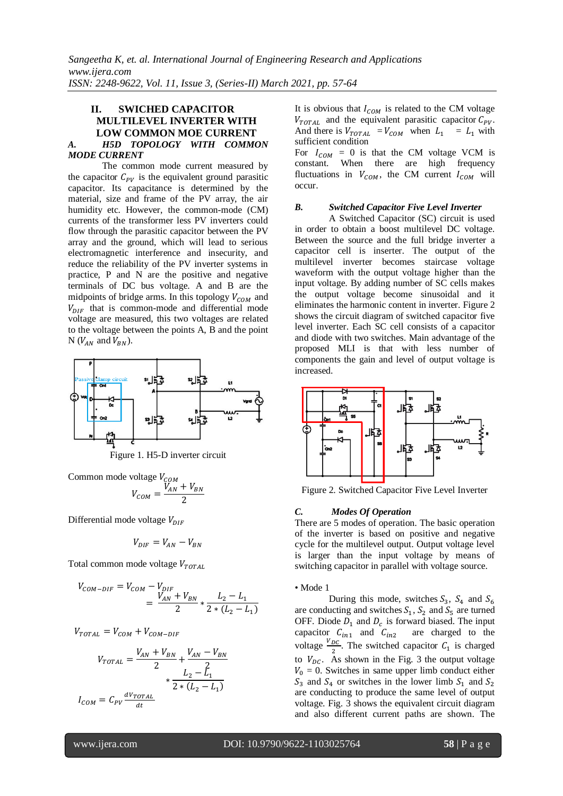## **II. SWICHED CAPACITOR MULTILEVEL INVERTER WITH LOW COMMON MOE CURRENT**  *A. H5D TOPOLOGY WITH COMMON MODE CURRENT*

The common mode current measured by the capacitor  $C_{PV}$  is the equivalent ground parasitic capacitor. Its capacitance is determined by the material, size and frame of the PV array, the air humidity etc. However, the common-mode (CM) currents of the transformer less PV inverters could flow through the parasitic capacitor between the PV array and the ground, which will lead to serious electromagnetic interference and insecurity, and reduce the reliability of the PV inverter systems in practice, P and N are the positive and negative terminals of DC bus voltage. A and B are the midpoints of bridge arms. In this topology  $V_{COM}$  and  $V_{DIF}$  that is common-mode and differential mode voltage are measured, this two voltages are related to the voltage between the points A, B and the point N ( $V_{AN}$  and  $V_{BN}$ ).



Figure 1. H5-D inverter circuit

Common mode voltage  $V_{\text{COM}}$ 

$$
V_{COM} = \frac{V_{AN} + V_{BN}}{2}
$$

Differential mode voltage  $V_{DIF}$ 

$$
V_{DIF} = V_{AN} - V_{BN}
$$

Total common mode voltage  $V_{TOTAL}$ 

$$
V_{COM-DIF} = V_{COM} - V_{DIF}
$$
  
= 
$$
\frac{V_{AN} + V_{BN}}{2} * \frac{L_2 - L_1}{2 * (L_2 - L_1)}
$$

 $V_{TOTAL} = V_{COM} + V_{COM-DIF}$ 

$$
V_{TOTAL} = \frac{V_{AN} + V_{BN}}{2} + \frac{V_{AN} - V_{BN}}{2}
$$

$$
+ \frac{L_2 - L_1}{2 * (L_2 - L_1)}
$$

$$
I_{COM} = C_{PV} \frac{dV_{TOTAL}}{dt}
$$

It is obvious that  $I_{COM}$  is related to the CM voltage  $V_{TOTAL}$  and the equivalent parasitic capacitor  $C_{PV}$ . And there is  $V_{TOTAL} = V_{COM}$  when  $L_1 = L_1$  with sufficient condition

For  $I_{COM} = 0$  is that the CM voltage VCM is constant. When there are high frequency fluctuations in  $V_{COM}$ , the CM current  $I_{COM}$  will occur.

#### *B. Switched Capacitor Five Level Inverter*

A Switched Capacitor (SC) circuit is used in order to obtain a boost multilevel DC voltage. Between the source and the full bridge inverter a capacitor cell is inserter. The output of the multilevel inverter becomes staircase voltage waveform with the output voltage higher than the input voltage. By adding number of SC cells makes the output voltage become sinusoidal and it eliminates the harmonic content in inverter. Figure 2 shows the circuit diagram of switched capacitor five level inverter. Each SC cell consists of a capacitor and diode with two switches. Main advantage of the proposed MLI is that with less number of components the gain and level of output voltage is increased.



Figure 2. Switched Capacitor Five Level Inverter

#### *C. Modes Of Operation*

There are 5 modes of operation. The basic operation of the inverter is based on positive and negative cycle for the multilevel output. Output voltage level is larger than the input voltage by means of switching capacitor in parallel with voltage source.

#### • Mode 1

During this mode, switches  $S_3$ ,  $S_4$  and are conducting and switches  $S_1$ ,  $S_2$  and  $S_5$  are turned OFF. Diode  $D_1$  and  $D_c$  is forward biased. The input capacitor  $C_{in1}$  and  $C_{in2}$  are charged to the voltage  $\frac{V_{DC}}{2}$ . The switched capacitor  $C_1$  is charged to  $V_{\text{DC}}$ . As shown in the Fig. 3 the output voltage  $V_0 = 0$ . Switches in same upper limb conduct either  $S_3$  and  $S_4$  or switches in the lower limb  $S_1$  and  $S_2$ are conducting to produce the same level of output voltage. Fig. 3 shows the equivalent circuit diagram and also different current paths are shown. The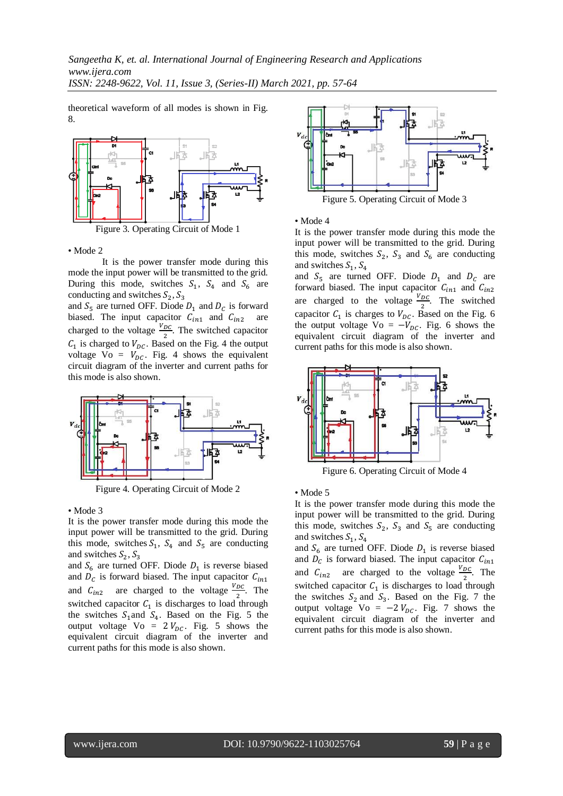theoretical waveform of all modes is shown in Fig. 8.



Figure 3. Operating Circuit of Mode 1

• Mode 2

It is the power transfer mode during this mode the input power will be transmitted to the grid. During this mode, switches  $S_1$ ,  $S_4$  and  $S_6$  are conducting and switches  $S_2$ , S

and  $S_5$  are turned OFF. Diode  $D_1$  and  $D_c$  is forward biased. The input capacitor  $C_{in1}$  and  $C_{in2}$  are charged to the voltage  $\frac{v_{DC}}{2}$ . The switched capacitor  $C_1$  is charged to  $V_{DC}$ . Based on the Fig. 4 the output voltage Vo =  $V_{DC}$ . Fig. 4 shows the equivalent circuit diagram of the inverter and current paths for this mode is also shown.



Figure 4. Operating Circuit of Mode 2

• Mode 3

It is the power transfer mode during this mode the input power will be transmitted to the grid. During this mode, switches  $S_1$ ,  $S_4$  and  $S_5$  are conducting and switches  $S_2$ , S

and  $S_6$  are turned OFF. Diode  $D_1$  is reverse biased and  $D<sub>c</sub>$  is forward biased. The input capacitor and  $C_{in2}$  are charged to the voltage  $\frac{V_{DC}}{2}$ . The switched capacitor  $C_1$  is discharges to load through the switches  $S_1$  and  $S_4$ . Based on the Fig. 5 the output voltage  $\overline{V}$ o = 2 $V_{DC}$ . Fig. 5 shows the equivalent circuit diagram of the inverter and current paths for this mode is also shown.



• Mode 4

It is the power transfer mode during this mode the input power will be transmitted to the grid. During this mode, switches  $S_2$ ,  $S_3$  and  $S_6$  are conducting and switches  $S_1$ , S

and  $S_5$  are turned OFF. Diode  $D_1$  and  $D_c$  are forward biased. The input capacitor  $C_{in1}$  and  $C_{in2}$ are charged to the voltage  $\frac{V_{DC}}{2}$ . The switched capacitor  $C_1$  is charges to  $V_{DC}$ . Based on the Fig. 6 the output voltage Vo =  $-V_{DC}$ . Fig. 6 shows the equivalent circuit diagram of the inverter and current paths for this mode is also shown.



Figure 6. Operating Circuit of Mode 4

• Mode 5

It is the power transfer mode during this mode the input power will be transmitted to the grid. During this mode, switches  $S_2$ ,  $S_3$  and  $S_5$  are conducting and switches  $S_1$ , S

and  $S_6$  are turned OFF. Diode  $D_1$  is reverse biased and  $D<sub>C</sub>$  is forward biased. The input capacitor and  $C_{in2}$  are charged to the voltage  $\frac{V_{DC}}{2}$ . The switched capacitor  $C_1$  is discharges to load through the switches  $S_2$  and  $S_3$ . Based on the Fig. 7 the output voltage Vo =  $-2V_{DC}$ . Fig. 7 shows the equivalent circuit diagram of the inverter and current paths for this mode is also shown.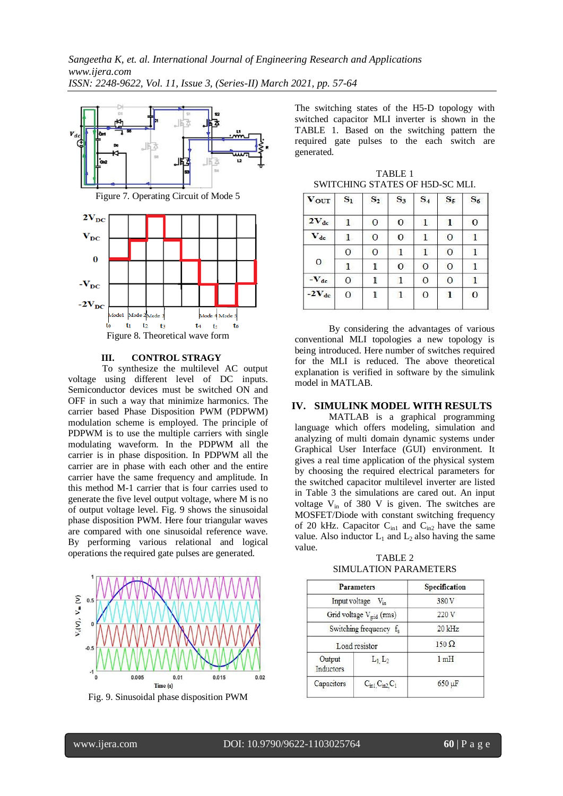

#### **III. CONTROL STRAGY**

To synthesize the multilevel AC output voltage using different level of DC inputs. Semiconductor devices must be switched ON and OFF in such a way that minimize harmonics. The carrier based Phase Disposition PWM (PDPWM) modulation scheme is employed. The principle of PDPWM is to use the multiple carriers with single modulating waveform. In the PDPWM all the carrier is in phase disposition. In PDPWM all the carrier are in phase with each other and the entire carrier have the same frequency and amplitude. In this method M-1 carrier that is four carries used to generate the five level output voltage, where M is no of output voltage level. Fig. 9 shows the sinusoidal phase disposition PWM. Here four triangular waves are compared with one sinusoidal reference wave. By performing various relational and logical operations the required gate pulses are generated.



Fig. 9. Sinusoidal phase disposition PWM

The switching states of the H5-D topology with switched capacitor MLI inverter is shown in the TABLE 1. Based on the switching pattern the required gate pulses to the each switch are generated.

TABLE 1 SWITCHING STATES OF H5D-SC MLI.

| <b>VOUT</b>  | $S_1$        | $S_2$        | $S_3$        | $S_4$        | $S_5$          | $S_6$        |
|--------------|--------------|--------------|--------------|--------------|----------------|--------------|
| $2V_{dc}$    | $\mathbf{1}$ | $\mathbf{O}$ | $\mathbf{O}$ | $\mathbf{1}$ | $\mathbf{1}$   | $\circ$      |
| $V_{dc}$     | $\mathbf{1}$ | $\mathbf{O}$ | $\mathbf{O}$ | $\mathbf{1}$ | $\mathbf{O}$   |              |
|              | $\mathbf{O}$ | $\mathbf{O}$ | $\mathbf{1}$ | $\mathbf{1}$ | $\overline{0}$ | 1            |
| $\mathbf{O}$ | $\mathbf{1}$ | 1            | $\mathbf{O}$ | $\mathbf{O}$ | $\mathbf{O}$   |              |
| $-V_{dc}$    | $\mathbf{O}$ |              | $\mathbf{1}$ | $\mathbf{O}$ | $\mathbf{0}$   | 1            |
| $-2V_{dc}$   | 0            | 1            | $\mathbf{1}$ | $\mathbf{O}$ | $\mathbf{1}$   | $\mathbf{O}$ |
|              |              |              |              |              |                |              |

By considering the advantages of various conventional MLI topologies a new topology is being introduced. Here number of switches required for the MLI is reduced. The above theoretical explanation is verified in software by the simulink model in MATLAB.

## **IV. SIMULINK MODEL WITH RESULTS**

MATLAB is a graphical programming language which offers modeling, simulation and analyzing of multi domain dynamic systems under Graphical User Interface (GUI) environment. It gives a real time application of the physical system by choosing the required electrical parameters for the switched capacitor multilevel inverter are listed in Table 3 the simulations are cared out. An input voltage  $V_{in}$  of 380 V is given. The switches are MOSFET/Diode with constant switching frequency of 20 kHz. Capacitor  $C_{in1}$  and  $C_{in2}$  have the same value. Also inductor  $L_1$  and  $L_2$  also having the same value.

TABLE 2 SIMULATION PARAMETERS

| <b>Parameters</b>                    | Specification                               |                 |  |
|--------------------------------------|---------------------------------------------|-----------------|--|
| Input voltage V <sub>in</sub>        | 380V                                        |                 |  |
| Grid voltage V <sub>grid</sub> (rms) | 220 V                                       |                 |  |
| Switching frequency f <sub>s</sub>   |                                             | $20$ kHz        |  |
| Load resistor                        |                                             | $150 \Omega$    |  |
| Output<br>Inductors                  | $L_1$ , $L_2$                               | 1 <sub>mH</sub> |  |
| Capacitors                           | $C_{\text{in1}}$ , $C_{\text{in2}}$ , $C_1$ | $650 \mu F$     |  |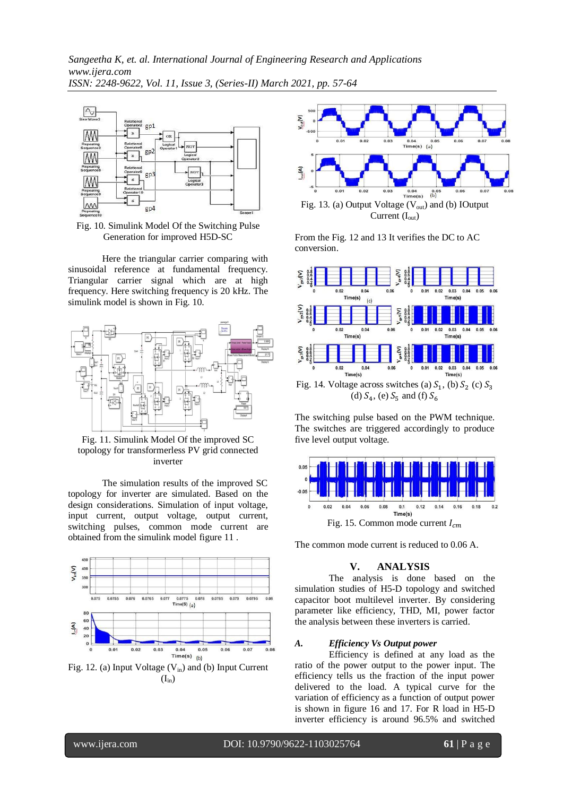*Sangeetha K, et. al. International Journal of Engineering Research and Applications www.ijera.com ISSN: 2248-9622, Vol. 11, Issue 3, (Series-II) March 2021, pp. 57-64*



Fig. 10. Simulink Model Of the Switching Pulse Generation for improved H5D-SC

Here the triangular carrier comparing with sinusoidal reference at fundamental frequency. Triangular carrier signal which are at high frequency. Here switching frequency is 20 kHz. The simulink model is shown in Fig. 10.



Fig. 11. Simulink Model Of the improved SC topology for transformerless PV grid connected inverter

The simulation results of the improved SC topology for inverter are simulated. Based on the design considerations. Simulation of input voltage, input current, output voltage, output current, switching pulses, common mode current are obtained from the simulink model figure 11 .



Fig. 12. (a) Input Voltage  $(V_{in})$  and (b) Input Current  $(I_{in})$ 



From the Fig. 12 and 13 It verifies the DC to AC conversion.



(d)  $S_4$ , (e)  $S_5$  and (f)

The switching pulse based on the PWM technique. The switches are triggered accordingly to produce five level output voltage.



The common mode current is reduced to 0.06 A.

## **V. ANALYSIS**

The analysis is done based on the simulation studies of H5-D topology and switched capacitor boot multilevel inverter. By considering parameter like efficiency, THD, MI, power factor the analysis between these inverters is carried.

## *A. Efficiency Vs Output power*

Efficiency is defined at any load as the ratio of the power output to the power input. The efficiency tells us the fraction of the input power delivered to the load. A typical curve for the variation of efficiency as a function of output power is shown in figure 16 and 17. For R load in H5-D inverter efficiency is around 96.5% and switched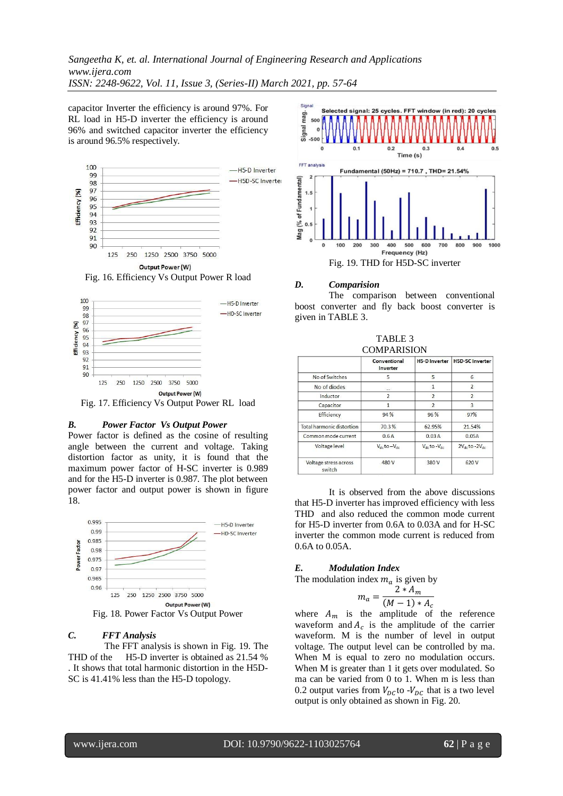*Sangeetha K, et. al. International Journal of Engineering Research and Applications www.ijera.com ISSN: 2248-9622, Vol. 11, Issue 3, (Series-II) March 2021, pp. 57-64*

capacitor Inverter the efficiency is around 97%. For RL load in H5-D inverter the efficiency is around 96% and switched capacitor inverter the efficiency is around 96.5% respectively.





Fig. 17. Efficiency Vs Output Power RL load

#### *B. Power Factor Vs Output Power*

Power factor is defined as the cosine of resulting angle between the current and voltage. Taking distortion factor as unity, it is found that the maximum power factor of H-SC inverter is 0.989 and for the H5-D inverter is 0.987. The plot between power factor and output power is shown in figure 18.



## *C. FFT Analysis*

The FFT analysis is shown in Fig. 19. The THD of the H5-D inverter is obtained as 21.54 % . It shows that total harmonic distortion in the H5D-SC is 41.41% less than the H5-D topology.



## *D. Comparision*

The comparison between conventional boost converter and fly back boost converter is given in TABLE 3.

TABLE 3

|                                 | Conventional<br>Inverter | <b>H5-D Inverter</b>     | <b>H5D-SC Inverter</b>  |
|---------------------------------|--------------------------|--------------------------|-------------------------|
| No of Switches                  | 5                        | 5                        | 6                       |
| No of diodes                    | $\sim$                   | 1                        | 2                       |
| Inductor                        | $\overline{2}$           | $\overline{2}$           | $\overline{2}$          |
| Capacitor                       | 1                        | $\overline{\phantom{0}}$ | 3                       |
| Efficiency                      | 94 %                     | 96 %                     | 97%                     |
| Total harmonic distortion       | 70.3%                    | 62.95%                   | 21.54%                  |
| Common mode current             | 0.6A                     | 0.03A                    | 0.05A                   |
| Voltage level                   | $V_{dc}$ to $-V_{dc}$    | $V_{dc}$ to $-V_{dc}$    | $2V_{dc}$ to $-2V_{dc}$ |
| Voltage stress across<br>switch | 480 V                    | 380 V                    | 620 V                   |
|                                 |                          |                          |                         |

It is observed from the above discussions that H5-D inverter has improved efficiency with less THD and also reduced the common mode current for H5-D inverter from 0.6A to 0.03A and for H-SC inverter the common mode current is reduced from 0.6A to 0.05A.

#### *E. Modulation Index*

The modulation index  $m_a$  is given by

$$
m_a = \frac{2 * A_m}{(M-1) * A_c}
$$

where  $A_m$  is the amplitude of the reference waveform and  $A_c$  is the amplitude of the carrier waveform. M is the number of level in output voltage. The output level can be controlled by ma. When M is equal to zero no modulation occurs. When M is greater than 1 it gets over modulated. So ma can be varied from 0 to 1. When m is less than 0.2 output varies from  $V_{DC}$  to - $V_{DC}$  that is a two level output is only obtained as shown in Fig. 20.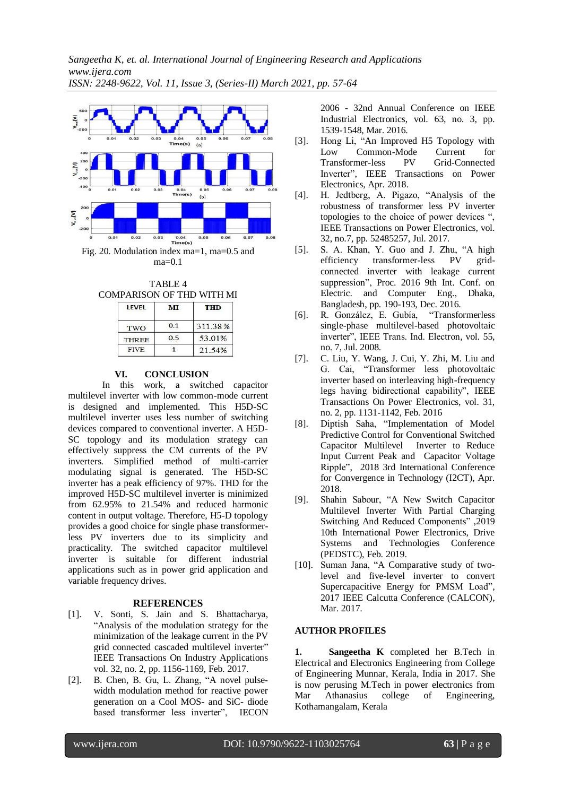

TABLE 4 COMPARISON OF THD WITH MI

| <b>LEVEL</b> | MТ  | THD     |  |
|--------------|-----|---------|--|
| TWO          | 0.1 | 311.38% |  |
| <b>THREE</b> | 0.5 | 53.01%  |  |
| <b>FIVE</b>  |     | 21.54%  |  |

## **VI. CONCLUSION**

In this work, a switched capacitor multilevel inverter with low common-mode current is designed and implemented. This H5D-SC multilevel inverter uses less number of switching devices compared to conventional inverter. A H5D-SC topology and its modulation strategy can effectively suppress the CM currents of the PV inverters. Simplified method of multi-carrier modulating signal is generated. The H5D-SC inverter has a peak efficiency of 97%. THD for the improved H5D-SC multilevel inverter is minimized from 62.95% to 21.54% and reduced harmonic content in output voltage. Therefore, H5-D topology provides a good choice for single phase transformerless PV inverters due to its simplicity and practicality. The switched capacitor multilevel inverter is suitable for different industrial applications such as in power grid application and variable frequency drives.

## **REFERENCES**

- [1]. V. Sonti, S. Jain and S. Bhattacharya, "Analysis of the modulation strategy for the minimization of the leakage current in the PV grid connected cascaded multilevel inverter" IEEE Transactions On Industry Applications vol. 32, no. 2, pp. 1156-1169, Feb. 2017.
- [2]. B. Chen, B. Gu, L. Zhang, "A novel pulsewidth modulation method for reactive power generation on a Cool MOS- and SiC- diode based transformer less inverter", IECON

2006 - 32nd Annual Conference on IEEE Industrial Electronics, vol. 63, no. 3, pp. 1539-1548, Mar. 2016.

- [3]. Hong Li, "An Improved H5 Topology with Low Common-Mode Current for Transformer-less PV Grid-Connected Inverter", IEEE Transactions on Power Electronics, Apr. 2018.
- [4]. H. Jedtberg, A. Pigazo, "Analysis of the robustness of transformer less PV inverter topologies to the choice of power devices ", IEEE Transactions on Power Electronics, vol. 32, no.7, pp. 52485257, Jul. 2017.
- [5]. S. A. Khan, Y. Guo and J. Zhu, "A high efficiency transformer-less PV gridconnected inverter with leakage current suppression", Proc. 2016 9th Int. Conf. on Electric. and Computer Eng., Dhaka, Bangladesh, pp. 190-193, Dec. 2016.
- [6]. R. González, E. Gubía, "Transformerless single-phase multilevel-based photovoltaic inverter", IEEE Trans. Ind. Electron, vol. 55, no. 7, Jul. 2008.
- [7]. C. Liu, Y. Wang, J. Cui, Y. Zhi, M. Liu and G. Cai, "Transformer less photovoltaic inverter based on interleaving high-frequency legs having bidirectional capability", IEEE Transactions On Power Electronics, vol. 31, no. 2, pp. 1131-1142, Feb. 2016
- [8]. Diptish Saha, "Implementation of Model Predictive Control for Conventional Switched Capacitor Multilevel Inverter to Reduce Input Current Peak and Capacitor Voltage Ripple", 2018 3rd International Conference for Convergence in Technology (I2CT), Apr. 2018.
- [9]. Shahin Sabour, "A New Switch Capacitor Multilevel Inverter With Partial Charging Switching And Reduced Components" ,2019 10th International Power Electronics, Drive Systems and Technologies Conference (PEDSTC), Feb. 2019.
- [10]. Suman Jana, "A Comparative study of twolevel and five-level inverter to convert Supercapacitive Energy for PMSM Load", 2017 IEEE Calcutta Conference (CALCON), Mar. 2017.

## **AUTHOR PROFILES**

**1. Sangeetha K** completed her B.Tech in Electrical and Electronics Engineering from College of Engineering Munnar, Kerala, India in 2017. She is now perusing M.Tech in power electronics from Mar Athanasius college of Engineering, Kothamangalam, Kerala